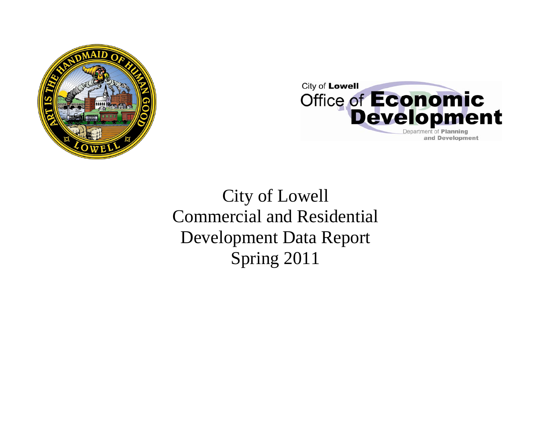



City of Lowell Commercial and Residential Development Data Report Spring 2011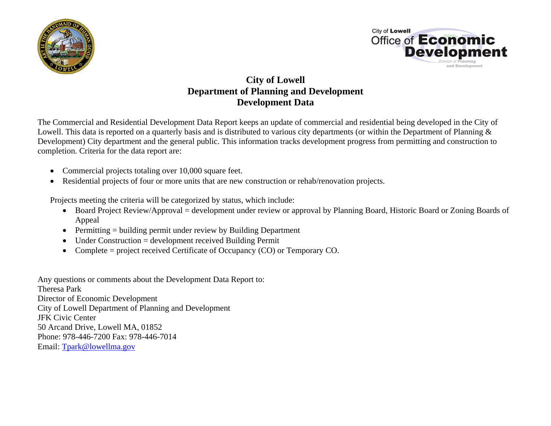



## **City of Lowell Department of Planning and Development Development Data**

The Commercial and Residential Development Data Report keeps an update of commercial and residential being developed in the City of Lowell. This data is reported on a quarterly basis and is distributed to various city departments (or within the Department of Planning & Development) City department and the general public. This information tracks development progress from permitting and construction to completion. Criteria for the data report are:

- Commercial projects totaling over 10,000 square feet.
- Residential projects of four or more units that are new construction or rehab/renovation projects.

Projects meeting the criteria will be categorized by status, which include:

- Board Project Review/Approval = development under review or approval by Planning Board, Historic Board or Zoning Boards of Appeal
- Permitting = building permit under review by Building Department
- $\bullet$ Under Construction = development received Building Permit
- •Complete = project received Certificate of Occupancy (CO) or Temporary CO.

Any questions or comments about the Development Data Report to: Theresa Park Director of Economic Development City of Lowell Department of Planning and Development JFK Civic Center 50 Arcand Drive, Lowell MA, 01852 Phone: 978-446-7200 Fax: 978-446-7014 Email: Tpark@lowellma.gov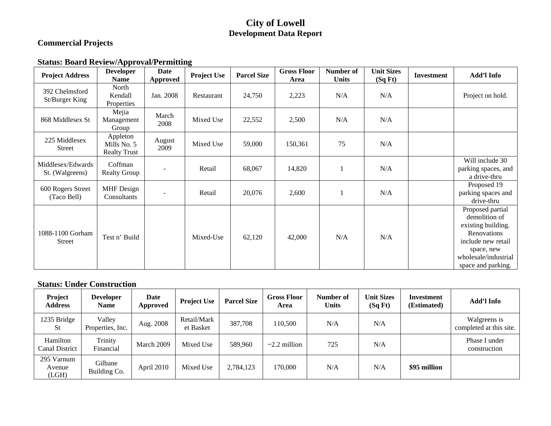## **City of Lowell Development Data Report**

## **Commercial Projects**

## **Status: Board Review/Approval/Permitting**

| <b>Project Address</b>               | <b>Developer</b><br><b>Name</b>                | <b>Date</b><br>Approved | <b>Project Use</b> | <b>Parcel Size</b> | <b>Gross Floor</b><br>Area | Number of<br><b>Units</b> | <b>Unit Sizes</b><br>(SqFt) | <b>Investment</b> | Add'l Info                                                                                                                                               |
|--------------------------------------|------------------------------------------------|-------------------------|--------------------|--------------------|----------------------------|---------------------------|-----------------------------|-------------------|----------------------------------------------------------------------------------------------------------------------------------------------------------|
| 392 Chelmsford<br>St/Burger King     | North<br>Kendall<br>Properties                 | Jan. 2008               | Restaurant         | 24,750             | 2,223                      | N/A                       | N/A                         |                   | Project on hold.                                                                                                                                         |
| 868 Middlesex St                     | Mejia<br>Management<br>Group                   | March<br>2008           | Mixed Use          | 22,552             | 2,500                      | N/A                       | N/A                         |                   |                                                                                                                                                          |
| 225 Middlesex<br>Street              | Appleton<br>Mills No. 5<br><b>Realty Trust</b> | August<br>2009          | Mixed Use          | 59,000             | 150,361                    | 75                        | N/A                         |                   |                                                                                                                                                          |
| Middlesex/Edwards<br>St. (Walgreens) | Coffman<br><b>Realty Group</b>                 |                         | Retail             | 68,067             | 14,820                     |                           | N/A                         |                   | Will include 30<br>parking spaces, and<br>a drive-thru                                                                                                   |
| 600 Rogers Street<br>(Taco Bell)     | <b>MHF</b> Design<br>Consultants               |                         | Retail             | 20,076             | 2,600                      |                           | N/A                         |                   | Proposed 19<br>parking spaces and<br>drive-thru                                                                                                          |
| 1088-1100 Gorham<br><b>Street</b>    | Test n' Build                                  |                         | Mixed-Use          | 62,120             | 42,000                     | N/A                       | N/A                         |                   | Proposed partial<br>demolition of<br>existing building.<br>Renovations<br>include new retail<br>space, new<br>wholesale/industrial<br>space and parking. |

#### **Status: Under Construction**

| Project<br><b>Address</b>         | <b>Developer</b><br><b>Name</b> | Date<br>Approved | <b>Project Use</b>       | <b>Parcel Size</b> | <b>Gross Floor</b><br>Area | Number of<br><b>Units</b> | <b>Unit Sizes</b><br>(SqFt) | Investment<br>(Estimated) | Add'l Info                              |
|-----------------------------------|---------------------------------|------------------|--------------------------|--------------------|----------------------------|---------------------------|-----------------------------|---------------------------|-----------------------------------------|
| 1235 Bridge<br><b>St</b>          | Valley<br>Properties, Inc.      | Aug. 2008        | Retail/Mark<br>et Basket | 387,708            | 110.500                    | N/A                       | N/A                         |                           | Walgreens is<br>completed at this site. |
| Hamilton<br><b>Canal District</b> | Trinity<br>Financial            | March 2009       | Mixed Use                | 589,960            | $\sim$ 2.2 million         | 725                       | N/A                         |                           | Phase I under<br>construction           |
| 295 Varnum<br>Avenue<br>(LGH)     | Gilbane<br>Building Co.         | April 2010       | Mixed Use                | 2,784,123          | 170,000                    | N/A                       | N/A                         | \$95 million              |                                         |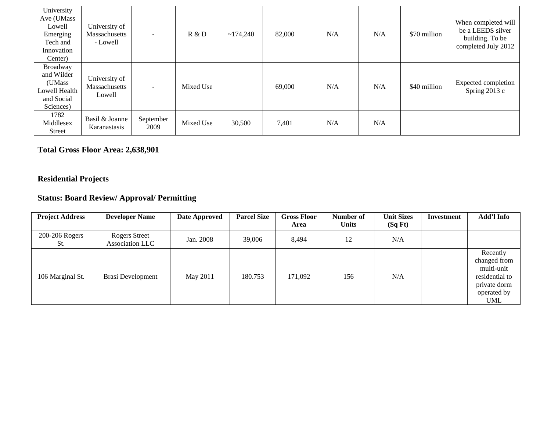| University<br>Ave (UMass<br>Lowell<br>Emerging<br>Tech and<br>Innovation<br>Center) | University of<br>Massachusetts<br>- Lowell | $\overline{\phantom{a}}$ | R & D     | ~174.240 | 82,000 | N/A | N/A | \$70 million | When completed will<br>be a LEEDS silver<br>building. To be<br>completed July 2012 |
|-------------------------------------------------------------------------------------|--------------------------------------------|--------------------------|-----------|----------|--------|-----|-----|--------------|------------------------------------------------------------------------------------|
| Broadway<br>and Wilder<br>(UMass<br>Lowell Health<br>and Social<br>Sciences)        | University of<br>Massachusetts<br>Lowell   | $\sim$                   | Mixed Use |          | 69,000 | N/A | N/A | \$40 million | Expected completion<br>Spring $2013c$                                              |
| 1782<br>Middlesex<br>Street                                                         | Basil & Joanne<br>Karanastasis             | September<br>2009        | Mixed Use | 30,500   | 7,401  | N/A | N/A |              |                                                                                    |

## **Total Gross Floor Area: 2,638,901**

## **Residential Projects**

# **Status: Board Review/ Approval/ Permitting**

| <b>Project Address</b> | <b>Developer Name</b>                   | Date Approved | <b>Parcel Size</b> | <b>Gross Floor</b><br>Area | Number of<br><b>Units</b> | <b>Unit Sizes</b><br>(SqFt) | <b>Investment</b> | Add'l Info                                                                                     |
|------------------------|-----------------------------------------|---------------|--------------------|----------------------------|---------------------------|-----------------------------|-------------------|------------------------------------------------------------------------------------------------|
| 200-206 Rogers<br>St.  | <b>Rogers Street</b><br>Association LLC | Jan. 2008     | 39,006             | 8,494                      | 12                        | N/A                         |                   |                                                                                                |
| 106 Marginal St.       | Brasi Development                       | May 2011      | 180.753            | 171,092                    | 156                       | N/A                         |                   | Recently<br>changed from<br>multi-unit<br>residential to<br>private dorm<br>operated by<br>UML |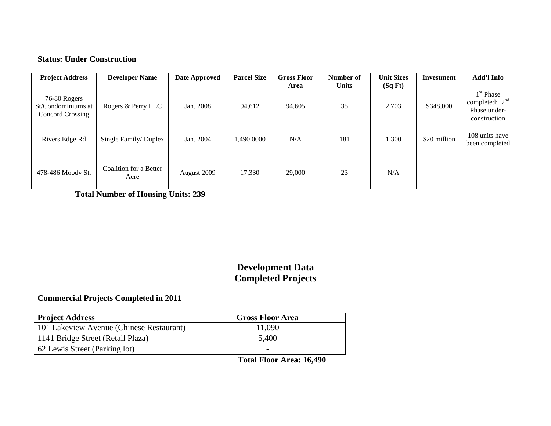#### **Status: Under Construction**

| <b>Project Address</b>                                 | <b>Developer Name</b>          | Date Approved | <b>Parcel Size</b> | <b>Gross Floor</b><br>Area | Number of<br><b>Units</b> | <b>Unit Sizes</b><br>(SqFt) | <b>Investment</b> | Add'l Info                                                      |
|--------------------------------------------------------|--------------------------------|---------------|--------------------|----------------------------|---------------------------|-----------------------------|-------------------|-----------------------------------------------------------------|
| 76-80 Rogers<br>St/Condominiums at<br>Concord Crossing | Rogers & Perry LLC             | Jan. 2008     | 94,612             | 94,605                     | 35                        | 2,703                       | \$348,000         | $1st$ Phase<br>completed; $2nd$<br>Phase under-<br>construction |
| Rivers Edge Rd                                         | Single Family/Duplex           | Jan. 2004     | 1,490,0000         | N/A                        | 181                       | 1,300                       | \$20 million      | 108 units have<br>been completed                                |
| 478-486 Moody St.                                      | Coalition for a Better<br>Acre | August 2009   | 17,330             | 29,000                     | 23                        | N/A                         |                   |                                                                 |

 **Total Number of Housing Units: 239** 

# **Development Data Completed Projects**

#### **Commercial Projects Completed in 2011**

| <b>Project Address</b>                   | <b>Gross Floor Area</b> |
|------------------------------------------|-------------------------|
| 101 Lakeview Avenue (Chinese Restaurant) | 11,090                  |
| 1141 Bridge Street (Retail Plaza)        | 5,400                   |
| 62 Lewis Street (Parking lot)            |                         |

**Total Floor Area: 16,490**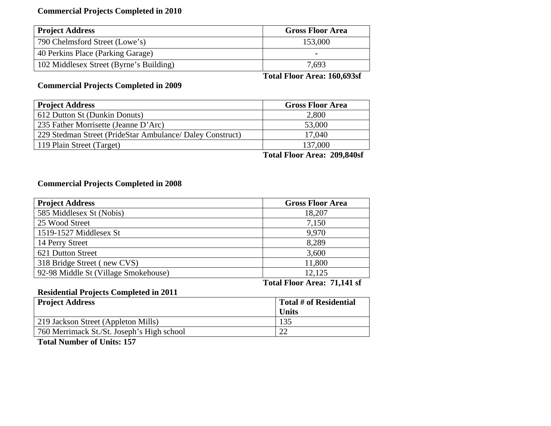### **Commercial Projects Completed in 2010**

| <b>Project Address</b>                  | <b>Gross Floor Area</b> |
|-----------------------------------------|-------------------------|
| 790 Chelmsford Street (Lowe's)          | 153,000                 |
| 40 Perkins Place (Parking Garage)       | -                       |
| 102 Middlesex Street (Byrne's Building) | 7,693                   |

 **Total Floor Area: 160,693sf** 

### **Commercial Projects Completed in 2009**

| <b>Project Address</b>                                    | <b>Gross Floor Area</b>    |
|-----------------------------------------------------------|----------------------------|
| 612 Dutton St (Dunkin Donuts)                             | 2,800                      |
| 235 Father Morrisette (Jeanne D'Arc)                      | 53,000                     |
| 229 Stedman Street (PrideStar Ambulance/ Daley Construct) | 17,040                     |
| 119 Plain Street (Target)                                 | 137,000                    |
|                                                           | $\cdots$<br>$\blacksquare$ |

 **Total Floor Area: 209,840sf** 

## **Commercial Projects Completed in 2008**

| <b>Project Address</b>               | <b>Gross Floor Area</b> |
|--------------------------------------|-------------------------|
| 585 Middlesex St (Nobis)             | 18,207                  |
| 25 Wood Street                       | 7,150                   |
| 1519-1527 Middlesex St               | 9,970                   |
| 14 Perry Street                      | 8,289                   |
| 621 Dutton Street                    | 3,600                   |
| 318 Bridge Street (new CVS)          | 11,800                  |
| 92-98 Middle St (Village Smokehouse) | 12,125                  |

**Total Floor Area: 71,141 sf** 

### **Residential Projects Completed in 2011**

| <b>Project Address</b>                     | <b>Total # of Residential</b> |
|--------------------------------------------|-------------------------------|
|                                            | <b>Units</b>                  |
| 219 Jackson Street (Appleton Mills)        | 135                           |
| 760 Merrimack St./St. Joseph's High school |                               |

**Total Number of Units: 157**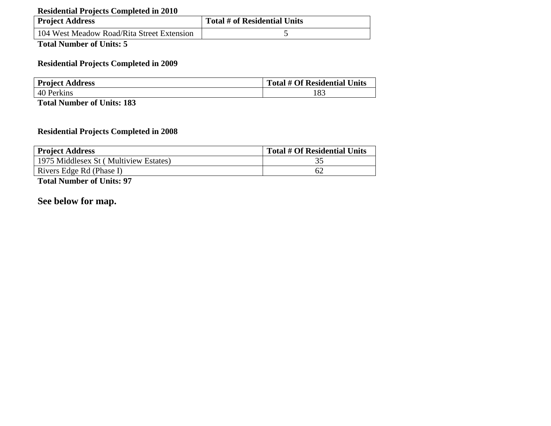### **Residential Projects Completed in 2010**

| <b>Project Address</b>                     | Total # of Residential Units |
|--------------------------------------------|------------------------------|
| 104 West Meadow Road/Rita Street Extension |                              |

**Total Number of Units: 5** 

### **Residential Projects Completed in 2009**

| <b>Project Address</b> | Total # Of Residential Units |
|------------------------|------------------------------|
| 40 Perkins             |                              |

**Total Number of Units: 183** 

## **Residential Projects Completed in 2008**

| <b>Project Address</b>                | Total # Of Residential Units |
|---------------------------------------|------------------------------|
| 1975 Middlesex St (Multiview Estates) |                              |
| Rivers Edge Rd (Phase I)              | 62                           |

**Total Number of Units: 97** 

## **See below for map.**